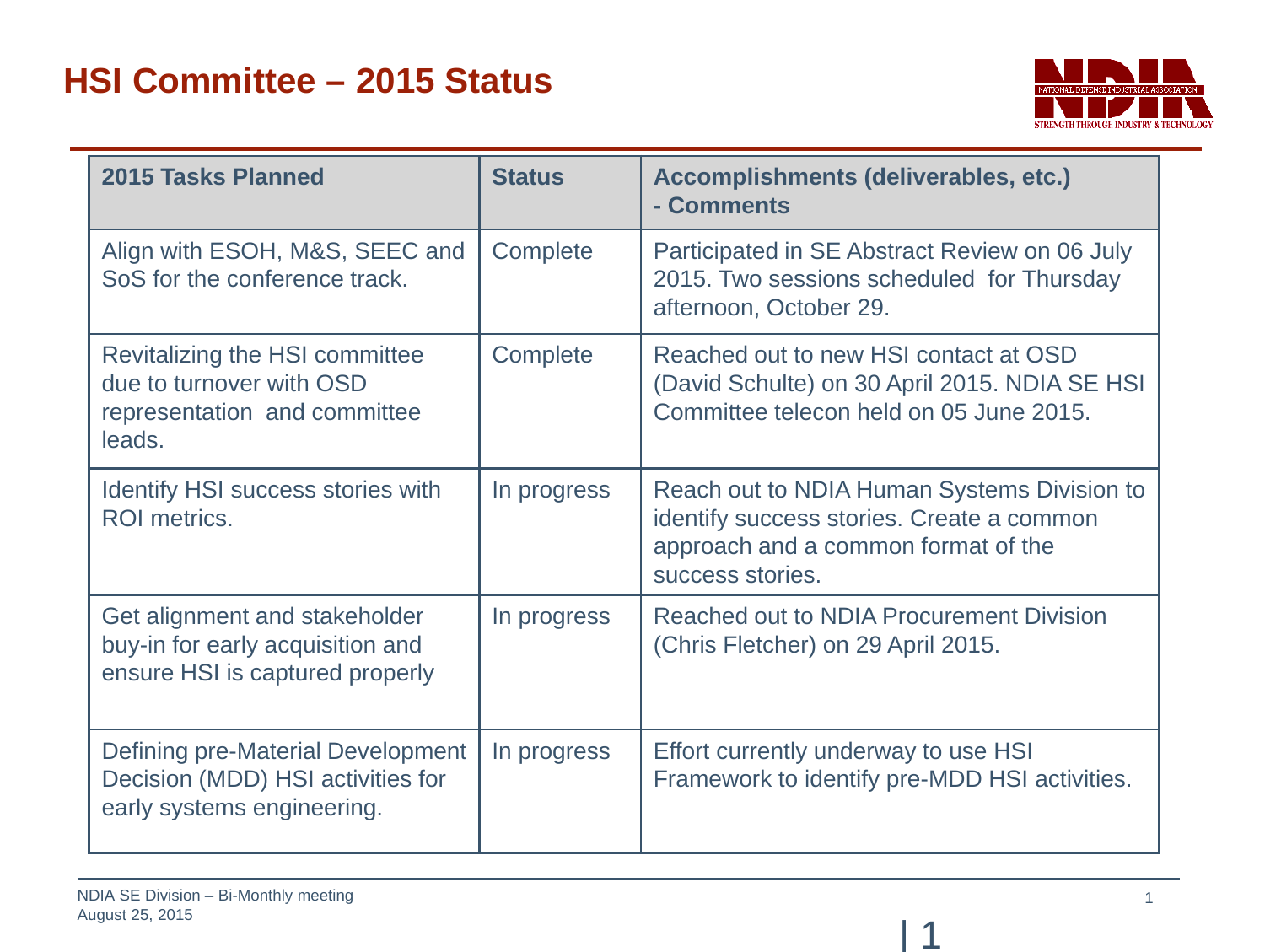

| 2015 Tasks Planned                                                                                   | <b>Status</b> | Accomplishments (deliverables, etc.)<br>- Comments                                                                                                  |
|------------------------------------------------------------------------------------------------------|---------------|-----------------------------------------------------------------------------------------------------------------------------------------------------|
| Align with ESOH, M&S, SEEC and<br>SoS for the conference track.                                      | Complete      | Participated in SE Abstract Review on 06 July<br>2015. Two sessions scheduled for Thursday<br>afternoon, October 29.                                |
| Revitalizing the HSI committee<br>due to turnover with OSD<br>representation and committee<br>leads. | Complete      | Reached out to new HSI contact at OSD<br>(David Schulte) on 30 April 2015. NDIA SE HSI<br>Committee telecon held on 05 June 2015.                   |
| Identify HSI success stories with<br><b>ROI</b> metrics.                                             | In progress   | Reach out to NDIA Human Systems Division to<br>identify success stories. Create a common<br>approach and a common format of the<br>success stories. |
| Get alignment and stakeholder<br>buy-in for early acquisition and<br>ensure HSI is captured properly | In progress   | Reached out to NDIA Procurement Division<br>(Chris Fletcher) on 29 April 2015.                                                                      |
| Defining pre-Material Development<br>Decision (MDD) HSI activities for<br>early systems engineering. | In progress   | Effort currently underway to use HSI<br>Framework to identify pre-MDD HSI activities.                                                               |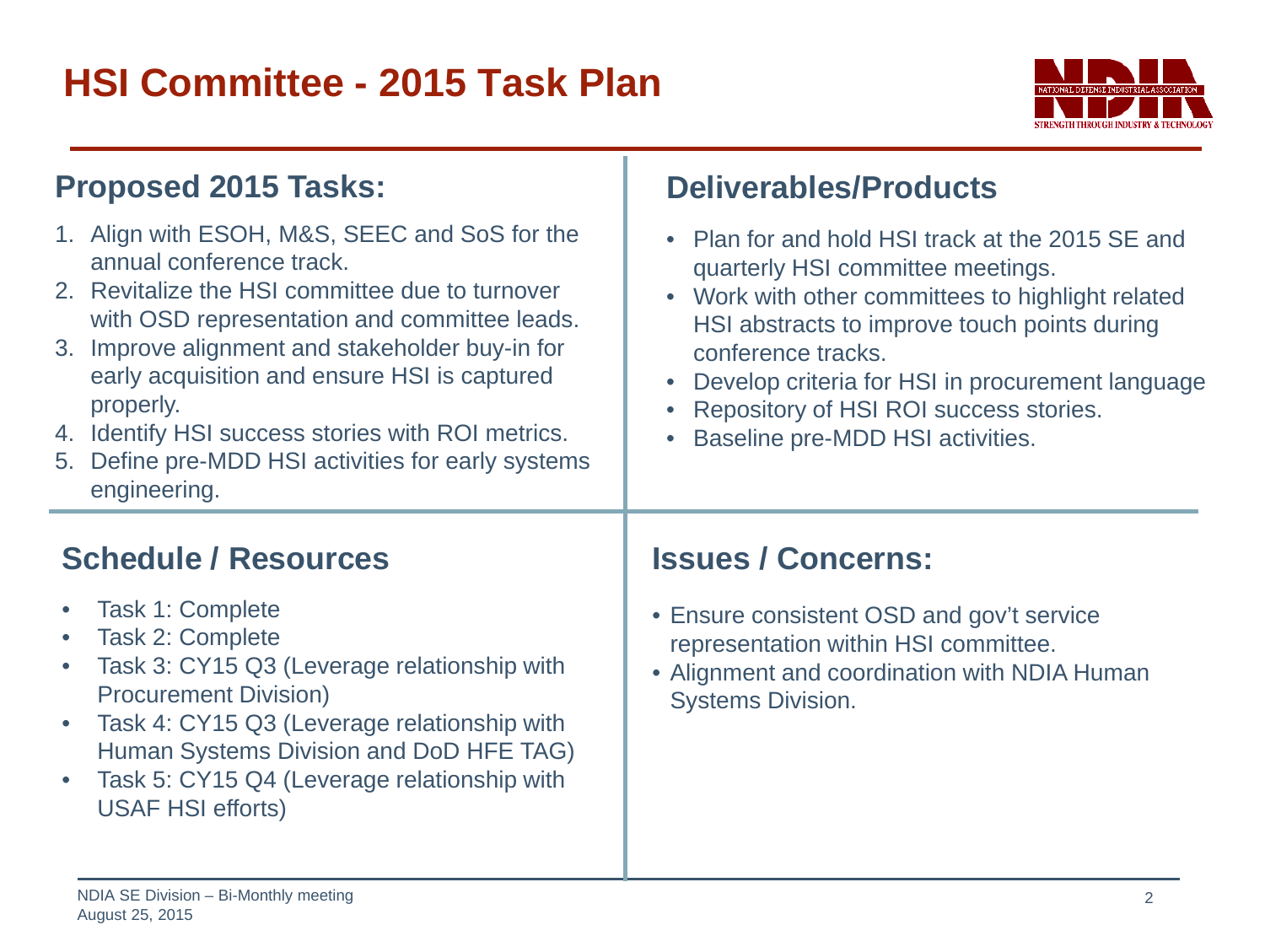## **HSI Committee - 2015 Task Plan**



| <b>Proposed 2015 Tasks:</b>                                                                                                                                                                                                                                                                                                                                                                                             | <b>Deliverables/Products</b>                                                                                                                                                                                                                                                                                                                                             |  |
|-------------------------------------------------------------------------------------------------------------------------------------------------------------------------------------------------------------------------------------------------------------------------------------------------------------------------------------------------------------------------------------------------------------------------|--------------------------------------------------------------------------------------------------------------------------------------------------------------------------------------------------------------------------------------------------------------------------------------------------------------------------------------------------------------------------|--|
| 1. Align with ESOH, M&S, SEEC and SoS for the<br>annual conference track.<br>2. Revitalize the HSI committee due to turnover<br>with OSD representation and committee leads.<br>3. Improve alignment and stakeholder buy-in for<br>early acquisition and ensure HSI is captured<br>properly.<br>4. Identify HSI success stories with ROI metrics.<br>5. Define pre-MDD HSI activities for early systems<br>engineering. | Plan for and hold HSI track at the 2015 SE and<br>$\bullet$<br>quarterly HSI committee meetings.<br>Work with other committees to highlight related<br>$\bullet$<br>HSI abstracts to improve touch points during<br>conference tracks.<br>Develop criteria for HSI in procurement language<br>Repository of HSI ROI success stories.<br>Baseline pre-MDD HSI activities. |  |
| <b>Schedule / Resources</b>                                                                                                                                                                                                                                                                                                                                                                                             | <b>Issues / Concerns:</b>                                                                                                                                                                                                                                                                                                                                                |  |
| Task 1: Complete<br>$\bullet$<br>Task 2: Complete<br>$\bullet$<br>Task 3: CY15 Q3 (Leverage relationship with<br>$\bullet$<br><b>Procurement Division)</b><br>Task 4: CY15 Q3 (Leverage relationship with<br>$\bullet$<br>Human Systems Division and DoD HFE TAG)<br>Task 5: CY15 Q4 (Leverage relationship with<br>$\bullet$<br><b>USAF HSI efforts)</b>                                                               | • Ensure consistent OSD and gov't service<br>representation within HSI committee.<br>• Alignment and coordination with NDIA Human<br><b>Systems Division.</b>                                                                                                                                                                                                            |  |